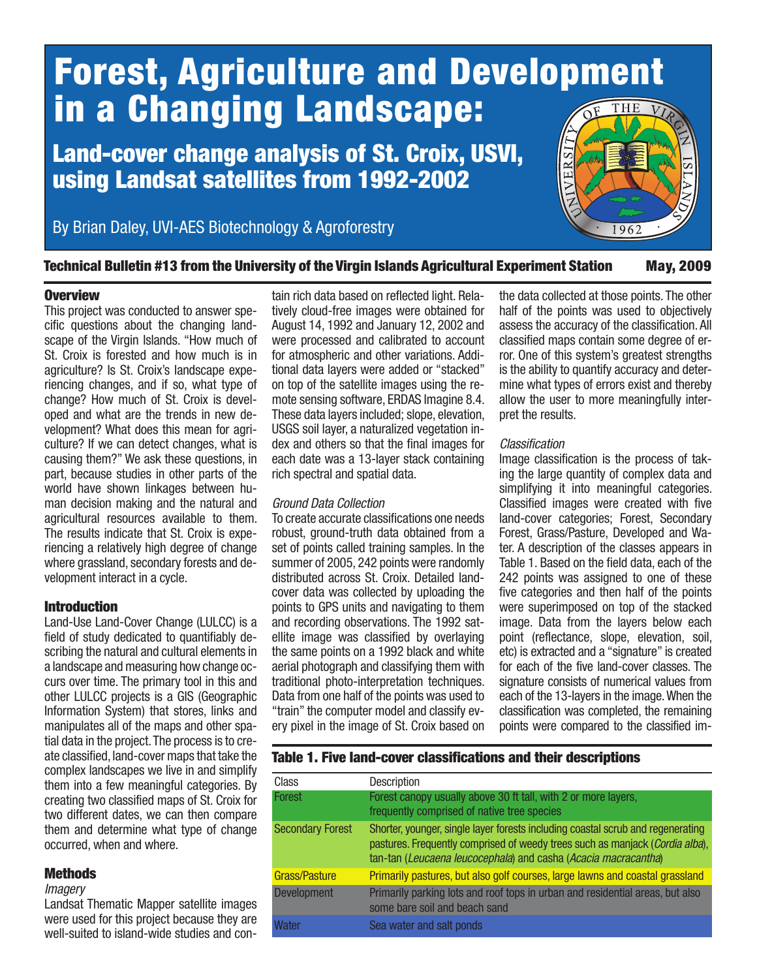# Forest, Agriculture and Development in a Changing Landscape: THF

## Land-cover change analysis of St. Croix, USVI, using Landsat satellites from 1992-2002

By Brian Daley, UVI-AES Biotechnology & Agroforestry



### Technical Bulletin #13 from the University of the Virgin Islands Agricultural Experiment Station May, 2009

#### **Overview**

This project was conducted to answer specific questions about the changing landscape of the Virgin Islands. "How much of St. Croix is forested and how much is in agriculture? Is St. Croix's landscape experiencing changes, and if so, what type of change? How much of St. Croix is developed and what are the trends in new development? What does this mean for agriculture? If we can detect changes, what is causing them?" We ask these questions, in part, because studies in other parts of the world have shown linkages between human decision making and the natural and agricultural resources available to them. The results indicate that St. Croix is experiencing a relatively high degree of change where grassland, secondary forests and development interact in a cycle.

## Introduction

Land-Use Land-Cover Change (LULCC) is a field of study dedicated to quantifiably describing the natural and cultural elements in a landscape and measuring how change occurs over time. The primary tool in this and other LULCC projects is a GIS (Geographic Information System) that stores, links and manipulates all of the maps and other spatial data in the project. The process is to create classified, land-cover maps that take the complex landscapes we live in and simplify them into a few meaningful categories. By creating two classified maps of St. Croix for two different dates, we can then compare them and determine what type of change occurred, when and where.

## **Methods**

#### *Imagery*

Landsat Thematic Mapper satellite images were used for this project because they are well-suited to island-wide studies and contain rich data based on reflected light. Relatively cloud-free images were obtained for August 14, 1992 and January 12, 2002 and were processed and calibrated to account for atmospheric and other variations. Additional data layers were added or "stacked" on top of the satellite images using the remote sensing software, ERDAS Imagine 8.4. These data layers included; slope, elevation, USGS soil layer, a naturalized vegetation index and others so that the final images for each date was a 13-layer stack containing rich spectral and spatial data.

#### *Ground Data Collection*

To create accurate classifications one needs robust, ground-truth data obtained from a set of points called training samples. In the summer of 2005, 242 points were randomly distributed across St. Croix. Detailed landcover data was collected by uploading the points to GPS units and navigating to them and recording observations. The 1992 satellite image was classified by overlaying the same points on a 1992 black and white aerial photograph and classifying them with traditional photo-interpretation techniques. Data from one half of the points was used to "train" the computer model and classify every pixel in the image of St. Croix based on the data collected at those points. The other half of the points was used to objectively assess the accuracy of the classification. All classified maps contain some degree of error. One of this system's greatest strengths is the ability to quantify accuracy and determine what types of errors exist and thereby allow the user to more meaningfully interpret the results.

#### *Classification*

Image classification is the process of taking the large quantity of complex data and simplifying it into meaningful categories. Classified images were created with five land-cover categories; Forest, Secondary Forest, Grass/Pasture, Developed and Water. A description of the classes appears in Table 1. Based on the field data, each of the 242 points was assigned to one of these five categories and then half of the points were superimposed on top of the stacked image. Data from the layers below each point (reflectance, slope, elevation, soil, etc) is extracted and a "signature" is created for each of the five land-cover classes. The signature consists of numerical values from each of the 13-layers in the image. When the classification was completed, the remaining points were compared to the classified im-

## Table 1. Five land-cover classifications and their descriptions

| Class                   | <b>Description</b>                                                                                                                                                                                                                |
|-------------------------|-----------------------------------------------------------------------------------------------------------------------------------------------------------------------------------------------------------------------------------|
| Forest                  | Forest canopy usually above 30 ft tall, with 2 or more layers,<br>frequently comprised of native tree species                                                                                                                     |
| <b>Secondary Forest</b> | Shorter, younger, single layer forests including coastal scrub and regenerating<br>pastures. Frequently comprised of weedy trees such as manjack (Cordia alba),<br>tan-tan (Leucaena leucocephala) and casha (Acacia macracantha) |
| Grass/Pasture           | Primarily pastures, but also golf courses, large lawns and coastal grassland                                                                                                                                                      |
| Development             | Primarily parking lots and roof tops in urban and residential areas, but also<br>some bare soil and beach sand                                                                                                                    |
| <b>Water</b>            | Sea water and salt ponds                                                                                                                                                                                                          |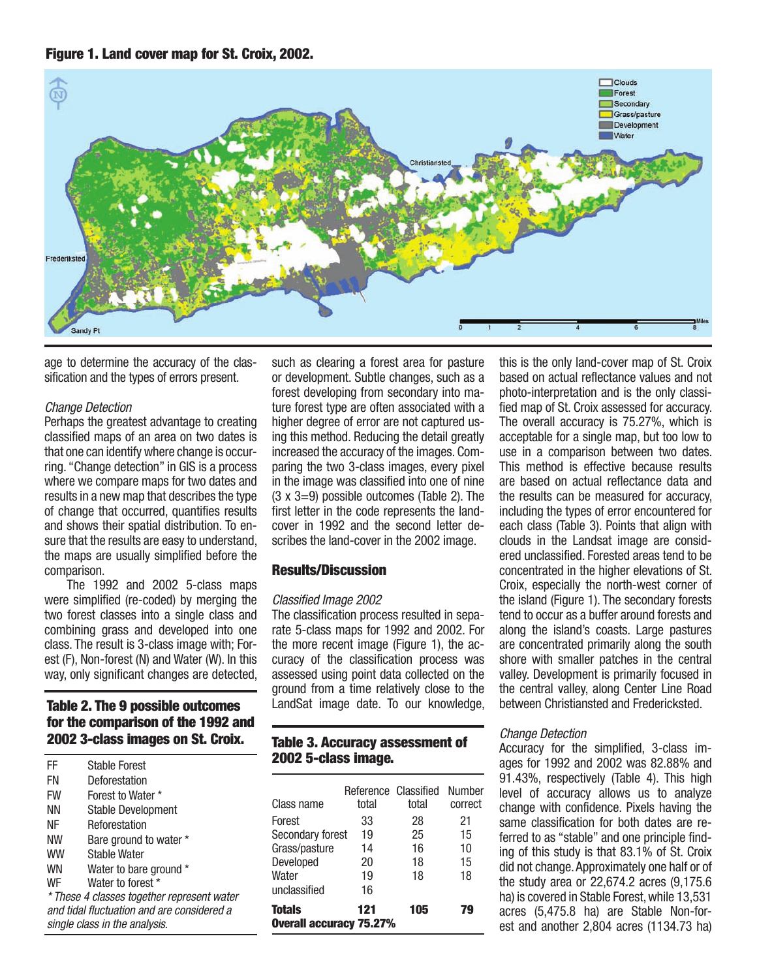



age to determine the accuracy of the classification and the types of errors present.

#### *Change Detection*

Perhaps the greatest advantage to creating classified maps of an area on two dates is that one can identify where change is occurring. "Change detection" in GIS is a process where we compare maps for two dates and results in a new map that describes the type of change that occurred, quantifies results and shows their spatial distribution. To ensure that the results are easy to understand, the maps are usually simplified before the comparison.

The 1992 and 2002 5-class maps were simplified (re-coded) by merging the two forest classes into a single class and combining grass and developed into one class. The result is 3-class image with; Forest (F), Non-forest (N) and Water (W). In this way, only significant changes are detected,

### Table 2. The 9 possible outcomes for the comparison of the 1992 and 2002 3-class images on St. Croix.

| FF        | <b>Stable Forest</b>                       |   |
|-----------|--------------------------------------------|---|
| FN        | Deforestation                              |   |
| <b>FW</b> | Forest to Water *                          |   |
| ΝN        | <b>Stable Development</b>                  |   |
| ΝF        | Reforestation                              |   |
| NW        | Bare ground to water *                     | S |
| WW        | <b>Stable Water</b>                        | G |
| WN        | Water to bare ground *                     |   |
| WF        | Water to forest *                          |   |
|           | * These 4 classes together represent water | U |
|           | and tidal fluctuation and are considered a |   |
|           | single class in the analysis.              |   |

such as clearing a forest area for pasture or development. Subtle changes, such as a forest developing from secondary into mature forest type are often associated with a higher degree of error are not captured using this method. Reducing the detail greatly increased the accuracy of the images. Comparing the two 3-class images, every pixel in the image was classified into one of nine  $(3 \times 3=9)$  possible outcomes (Table 2). The first letter in the code represents the landcover in 1992 and the second letter describes the land-cover in the 2002 image.

#### Results/Discussion

#### *Classified Image 2002*

The classification process resulted in separate 5-class maps for 1992 and 2002. For the more recent image (Figure 1), the accuracy of the classification process was assessed using point data collected on the ground from a time relatively close to the LandSat image date. To our knowledge,

## Table 3. Accuracy assessment of 2002 5-class image.

| Class name                                      | Reference Classified<br>total | total | Number<br>correct |
|-------------------------------------------------|-------------------------------|-------|-------------------|
| Forest                                          | 33                            | 28    | 21                |
| Secondary forest                                | 19                            | 25    | 15                |
| Grass/pasture                                   | 14                            | 16    | 10                |
| Developed                                       | 20                            | 18    | 15                |
| Water                                           | 19                            | 18    | 18                |
| unclassified                                    | 16                            |       |                   |
| <b>Totals</b><br><b>Overall accuracy 75.27%</b> | 105                           | 79    |                   |

this is the only land-cover map of St. Croix based on actual reflectance values and not photo-interpretation and is the only classified map of St. Croix assessed for accuracy. The overall accuracy is 75.27%, which is acceptable for a single map, but too low to use in a comparison between two dates. This method is effective because results are based on actual reflectance data and the results can be measured for accuracy, including the types of error encountered for each class (Table 3). Points that align with clouds in the Landsat image are considered unclassified. Forested areas tend to be concentrated in the higher elevations of St. Croix, especially the north-west corner of the island (Figure 1). The secondary forests tend to occur as a buffer around forests and along the island's coasts. Large pastures are concentrated primarily along the south shore with smaller patches in the central valley. Development is primarily focused in the central valley, along Center Line Road between Christiansted and Fredericksted.

#### *Change Detection*

Accuracy for the simplified, 3-class images for 1992 and 2002 was 82.88% and 91.43%, respectively (Table 4). This high level of accuracy allows us to analyze change with confidence. Pixels having the same classification for both dates are referred to as "stable" and one principle finding of this study is that 83.1% of St. Croix did not change. Approximately one half or of the study area or 22,674.2 acres (9,175.6 ha) is covered in Stable Forest, while 13,531 acres (5,475.8 ha) are Stable Non-forest and another 2,804 acres (1134.73 ha)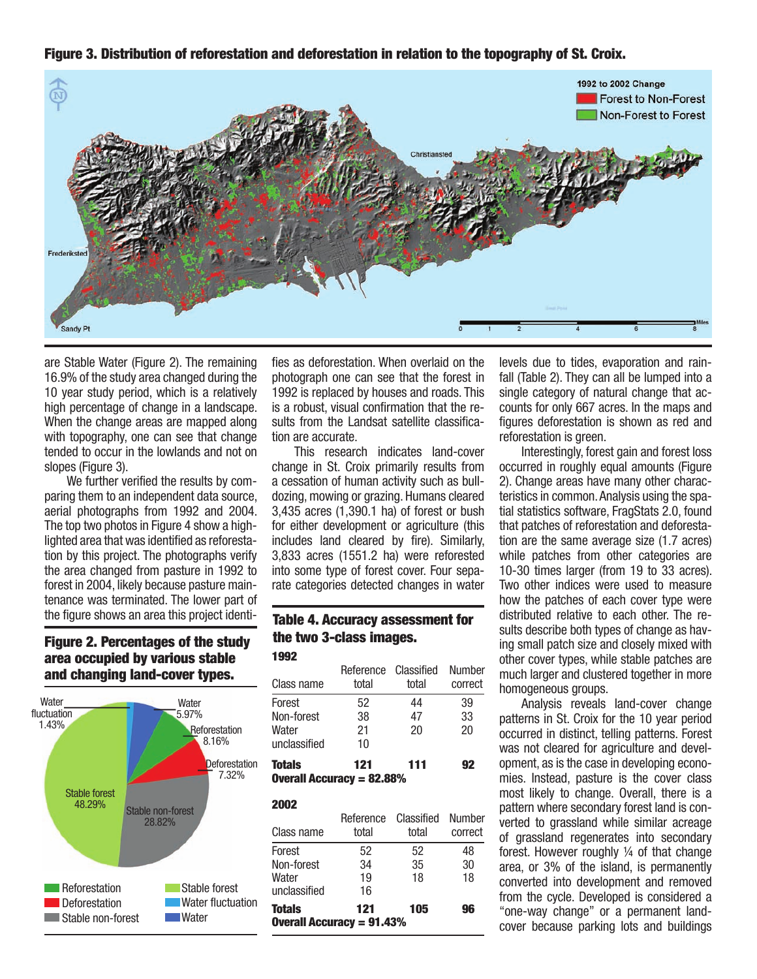Figure 3. Distribution of reforestation and deforestation in relation to the topography of St. Croix.



are Stable Water (Figure 2). The remaining 16.9% of the study area changed during the 10 year study period, which is a relatively high percentage of change in a landscape. When the change areas are mapped along with topography, one can see that change tended to occur in the lowlands and not on slopes (Figure 3).

We further verified the results by comparing them to an independent data source, aerial photographs from 1992 and 2004. The top two photos in Figure 4 show a highlighted area that was identified as reforestation by this project. The photographs verify the area changed from pasture in 1992 to forest in 2004, likely because pasture maintenance was terminated. The lower part of the figure shows an area this project identi-

#### Figure 2. Percentages of the study area occupied by various stable and changing land-cover types.



fies as deforestation. When overlaid on the photograph one can see that the forest in 1992 is replaced by houses and roads. This is a robust, visual confirmation that the results from the Landsat satellite classification are accurate.

This research indicates land-cover change in St. Croix primarily results from a cessation of human activity such as bulldozing, mowing or grazing. Humans cleared 3,435 acres (1,390.1 ha) of forest or bush for either development or agriculture (this includes land cleared by fire). Similarly, 3,833 acres (1551.2 ha) were reforested into some type of forest cover. Four separate categories detected changes in water

#### 1992 Table 4. Accuracy assessment for the two 3-class images.

| Class name                                                            | Reference Classified<br>total | total | <b>Number</b><br>correct |  |
|-----------------------------------------------------------------------|-------------------------------|-------|--------------------------|--|
| Forest                                                                | 52                            | 44    | 39                       |  |
| Non-forest                                                            | 38                            | 47    | 33                       |  |
| Water                                                                 | 21                            | 20    | 20                       |  |
| unclassified                                                          | 10                            |       |                          |  |
| <b>Totals</b><br>121<br>111<br>92<br><b>Overall Accuracy = 82.88%</b> |                               |       |                          |  |

#### 2002

| Class name                                                            | Reference<br>total | Classified<br>total | <b>Number</b><br>correct |  |
|-----------------------------------------------------------------------|--------------------|---------------------|--------------------------|--|
| Forest                                                                | 52                 | 52                  | 48                       |  |
| Non-forest                                                            | 34                 | 35                  | 30                       |  |
| Water                                                                 | 19                 | 18                  | 18                       |  |
| unclassified                                                          | 16                 |                     |                          |  |
| <b>Totals</b><br>121<br>105<br>96<br><b>Overall Accuracy = 91.43%</b> |                    |                     |                          |  |

levels due to tides, evaporation and rainfall (Table 2). They can all be lumped into a single category of natural change that accounts for only 667 acres. In the maps and figures deforestation is shown as red and reforestation is green.

Interestingly, forest gain and forest loss occurred in roughly equal amounts (Figure 2). Change areas have many other characteristics in common. Analysis using the spatial statistics software, FragStats 2.0, found that patches of reforestation and deforestation are the same average size (1.7 acres) while patches from other categories are 10-30 times larger (from 19 to 33 acres). Two other indices were used to measure how the patches of each cover type were distributed relative to each other. The results describe both types of change as having small patch size and closely mixed with other cover types, while stable patches are much larger and clustered together in more homogeneous groups.

Analysis reveals land-cover change patterns in St. Croix for the 10 year period occurred in distinct, telling patterns. Forest was not cleared for agriculture and development, as is the case in developing economies. Instead, pasture is the cover class most likely to change. Overall, there is a pattern where secondary forest land is converted to grassland while similar acreage of grassland regenerates into secondary forest. However roughly ¼ of that change area, or 3% of the island, is permanently converted into development and removed from the cycle. Developed is considered a "one-way change" or a permanent landcover because parking lots and buildings